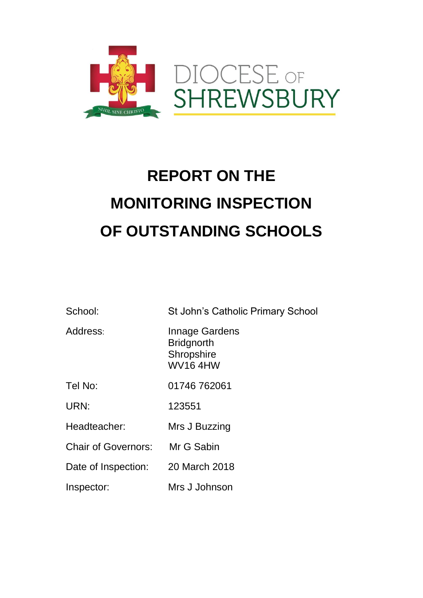

# **REPORT ON THE MONITORING INSPECTION OF OUTSTANDING SCHOOLS**

| School:                           | St John's Catholic Primary School                                                 |
|-----------------------------------|-----------------------------------------------------------------------------------|
| Address:                          | <b>Innage Gardens</b><br><b>Bridgnorth</b><br><b>Shropshire</b><br><b>WV164HW</b> |
| Tel No:                           | 01746 762061                                                                      |
| URN:                              | 123551                                                                            |
| Headteacher:                      | Mrs J Buzzing                                                                     |
| <b>Chair of Governors:</b>        | Mr G Sabin                                                                        |
| Date of Inspection: 20 March 2018 |                                                                                   |
| Inspector:                        | Mrs J Johnson                                                                     |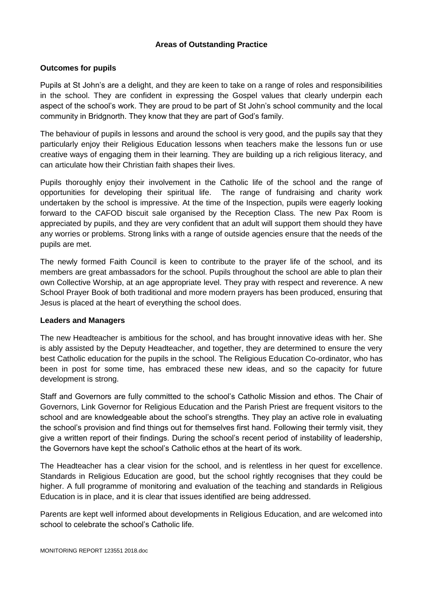## **Areas of Outstanding Practice**

#### **Outcomes for pupils**

Pupils at St John's are a delight, and they are keen to take on a range of roles and responsibilities in the school. They are confident in expressing the Gospel values that clearly underpin each aspect of the school's work. They are proud to be part of St John's school community and the local community in Bridgnorth. They know that they are part of God's family.

The behaviour of pupils in lessons and around the school is very good, and the pupils say that they particularly enjoy their Religious Education lessons when teachers make the lessons fun or use creative ways of engaging them in their learning. They are building up a rich religious literacy, and can articulate how their Christian faith shapes their lives.

Pupils thoroughly enjoy their involvement in the Catholic life of the school and the range of opportunities for developing their spiritual life. The range of fundraising and charity work undertaken by the school is impressive. At the time of the Inspection, pupils were eagerly looking forward to the CAFOD biscuit sale organised by the Reception Class. The new Pax Room is appreciated by pupils, and they are very confident that an adult will support them should they have any worries or problems. Strong links with a range of outside agencies ensure that the needs of the pupils are met.

The newly formed Faith Council is keen to contribute to the prayer life of the school, and its members are great ambassadors for the school. Pupils throughout the school are able to plan their own Collective Worship, at an age appropriate level. They pray with respect and reverence. A new School Prayer Book of both traditional and more modern prayers has been produced, ensuring that Jesus is placed at the heart of everything the school does.

#### **Leaders and Managers**

The new Headteacher is ambitious for the school, and has brought innovative ideas with her. She is ably assisted by the Deputy Headteacher, and together, they are determined to ensure the very best Catholic education for the pupils in the school. The Religious Education Co-ordinator, who has been in post for some time, has embraced these new ideas, and so the capacity for future development is strong.

Staff and Governors are fully committed to the school's Catholic Mission and ethos. The Chair of Governors, Link Governor for Religious Education and the Parish Priest are frequent visitors to the school and are knowledgeable about the school's strengths. They play an active role in evaluating the school's provision and find things out for themselves first hand. Following their termly visit, they give a written report of their findings. During the school's recent period of instability of leadership, the Governors have kept the school's Catholic ethos at the heart of its work.

The Headteacher has a clear vision for the school, and is relentless in her quest for excellence. Standards in Religious Education are good, but the school rightly recognises that they could be higher. A full programme of monitoring and evaluation of the teaching and standards in Religious Education is in place, and it is clear that issues identified are being addressed.

Parents are kept well informed about developments in Religious Education, and are welcomed into school to celebrate the school's Catholic life.